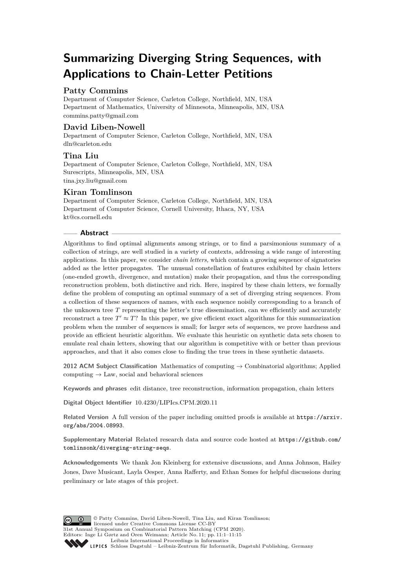# **Summarizing Diverging String Sequences, with Applications to Chain-Letter Petitions**

# **Patty Commins**

Department of Computer Science, Carleton College, Northfield, MN, USA Department of Mathematics, University of Minnesota, Minneapolis, MN, USA [commins.patty@gmail.com](mailto:commins.patty@gmail.com)

# **David Liben-Nowell**

Department of Computer Science, Carleton College, Northfield, MN, USA [dln@carleton.edu](mailto:dln@carleton.edu)

# **Tina Liu**

Department of Computer Science, Carleton College, Northfield, MN, USA Surescripts, Minneapolis, MN, USA [tina.jxy.liu@gmail.com](mailto:tina.jxy.liu@gmail.com)

# **Kiran Tomlinson**

Department of Computer Science, Carleton College, Northfield, MN, USA Department of Computer Science, Cornell University, Ithaca, NY, USA [kt@cs.cornell.edu](mailto:kt@cs.cornell.edu)

### **Abstract**

Algorithms to find optimal alignments among strings, or to find a parsimonious summary of a collection of strings, are well studied in a variety of contexts, addressing a wide range of interesting applications. In this paper, we consider *chain letters,* which contain a growing sequence of signatories added as the letter propagates. The unusual constellation of features exhibited by chain letters (one-ended growth, divergence, and mutation) make their propagation, and thus the corresponding reconstruction problem, both distinctive and rich. Here, inspired by these chain letters, we formally define the problem of computing an optimal summary of a set of diverging string sequences. From a collection of these sequences of names, with each sequence noisily corresponding to a branch of the unknown tree *T* representing the letter's true dissemination, can we efficiently and accurately reconstruct a tree  $T' \approx T$ ? In this paper, we give efficient exact algorithms for this summarization problem when the number of sequences is small; for larger sets of sequences, we prove hardness and provide an efficient heuristic algorithm. We evaluate this heuristic on synthetic data sets chosen to emulate real chain letters, showing that our algorithm is competitive with or better than previous approaches, and that it also comes close to finding the true trees in these synthetic datasets.

**2012 ACM Subject Classification** Mathematics of computing → Combinatorial algorithms; Applied computing  $\rightarrow$  Law, social and behavioral sciences

**Keywords and phrases** edit distance, tree reconstruction, information propagation, chain letters

**Digital Object Identifier** [10.4230/LIPIcs.CPM.2020.11](https://doi.org/10.4230/LIPIcs.CPM.2020.11)

**Related Version** A full version of the paper including omitted proofs is available at [https://arxiv.](https://arxiv.org/abs/2004.08993) [org/abs/2004.08993](https://arxiv.org/abs/2004.08993).

**Supplementary Material** Related research data and source code hosted at [https://github.com/](https://github.com/tomlinsonk/diverging-string-seqs) [tomlinsonk/diverging-string-seqs](https://github.com/tomlinsonk/diverging-string-seqs).

**Acknowledgements** We thank Jon Kleinberg for extensive discussions, and Anna Johnson, Hailey Jones, Dave Musicant, Layla Oesper, Anna Rafferty, and Ethan Somes for helpful discussions during preliminary or late stages of this project.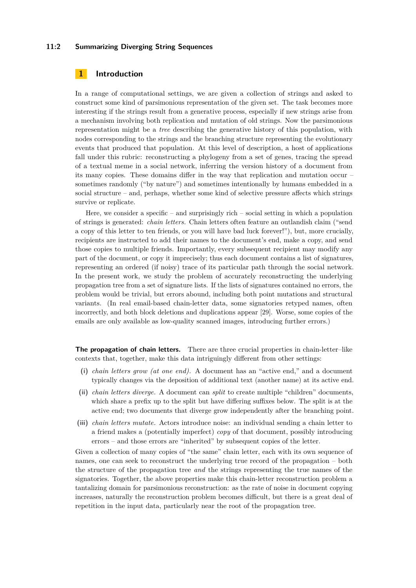### **11:2 Summarizing Diverging String Sequences**

## **1 Introduction**

In a range of computational settings, we are given a collection of strings and asked to construct some kind of parsimonious representation of the given set. The task becomes more interesting if the strings result from a generative process, especially if new strings arise from a mechanism involving both replication and mutation of old strings. Now the parsimonious representation might be a *tree* describing the generative history of this population, with nodes corresponding to the strings and the branching structure representing the evolutionary events that produced that population. At this level of description, a host of applications fall under this rubric: reconstructing a phylogeny from a set of genes, tracing the spread of a textual meme in a social network, inferring the version history of a document from its many copies. These domains differ in the way that replication and mutation occur – sometimes randomly ("by nature") and sometimes intentionally by humans embedded in a social structure – and, perhaps, whether some kind of selective pressure affects which strings survive or replicate.

Here, we consider a specific – and surprisingly rich – social setting in which a population of strings is generated: *chain letters.* Chain letters often feature an outlandish claim ("send a copy of this letter to ten friends, or you will have bad luck forever!"), but, more crucially, recipients are instructed to add their names to the document's end, make a copy, and send those copies to multiple friends. Importantly, every subsequent recipient may modify any part of the document, or copy it imprecisely; thus each document contains a list of signatures, representing an ordered (if noisy) trace of its particular path through the social network. In the present work, we study the problem of accurately reconstructing the underlying propagation tree from a set of signature lists. If the lists of signatures contained no errors, the problem would be trivial, but errors abound, including both point mutations and structural variants. (In real email-based chain-letter data, some signatories retyped names, often incorrectly, and both block deletions and duplications appear [\[29\]](#page-13-0). Worse, some copies of the emails are only available as low-quality scanned images, introducing further errors.)

**The propagation of chain letters.** There are three crucial properties in chain-letter–like contexts that, together, make this data intriguingly different from other settings:

- **(i)** *chain letters grow (at one end).* A document has an "active end," and a document typically changes via the deposition of additional text (another name) at its active end.
- **(ii)** *chain letters diverge.* A document can *split* to create multiple "children" documents, which share a prefix up to the split but have differing suffixes below. The split is at the active end; two documents that diverge grow independently after the branching point.
- **(iii)** *chain letters mutate.* Actors introduce noise: an individual sending a chain letter to a friend makes a (potentially imperfect) *copy* of that document, possibly introducing errors – and those errors are "inherited" by subsequent copies of the letter.

Given a collection of many copies of "the same" chain letter, each with its own sequence of names, one can seek to reconstruct the underlying true record of the propagation – both the structure of the propagation tree *and* the strings representing the true names of the signatories. Together, the above properties make this chain-letter reconstruction problem a tantalizing domain for parsimonious reconstruction: as the rate of noise in document copying increases, naturally the reconstruction problem becomes difficult, but there is a great deal of repetition in the input data, particularly near the root of the propagation tree.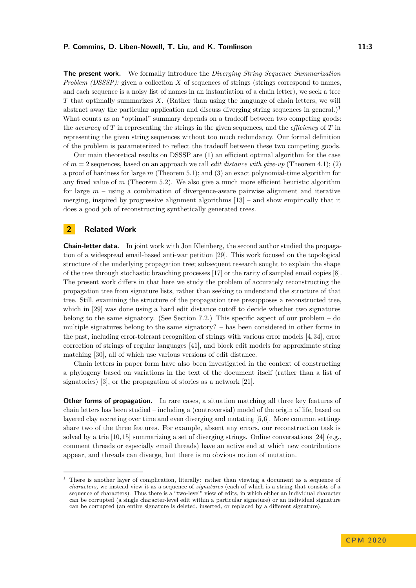**The present work.** We formally introduce the *Diverging String Sequence Summarization Problem (DSSSP):* given a collection *X* of sequences of strings (strings correspond to names, and each sequence is a noisy list of names in an instantiation of a chain letter), we seek a tree *T* that optimally summarizes *X*. (Rather than using the language of chain letters, we will abstract away the particular application and discuss diverging string sequences in general.)<sup>[1](#page-2-0)</sup> What counts as an "optimal" summary depends on a tradeoff between two competing goods: the *accuracy* of *T* in representing the strings in the given sequences, and the *efficiency* of *T* in representing the given string sequences without too much redundancy. Our formal definition of the problem is parameterized to reflect the tradeoff between these two competing goods.

Our main theoretical results on DSSSP are (1) an efficient optimal algorithm for the case of *m* = 2 sequences, based on an approach we call *edit distance with give-up* (Theorem [4.1\)](#page-6-0); (2) a proof of hardness for large *m* (Theorem [5.1\)](#page-6-0); and (3) an exact polynomial-time algorithm for any fixed value of *m* (Theorem [5.2\)](#page-7-0). We also give a much more efficient heuristic algorithm for large *m* – using a combination of divergence-aware pairwise alignment and iterative merging, inspired by progressive alignment algorithms  $[13]$  – and show empirically that it does a good job of reconstructing synthetically generated trees.

# **2 Related Work**

**Chain-letter data.** In joint work with Jon Kleinberg, the second author studied the propagation of a widespread email-based anti-war petition [\[29\]](#page-13-0). This work focused on the topological structure of the underlying propagation tree; subsequent research sought to explain the shape of the tree through stochastic branching processes [\[17\]](#page-12-1) or the rarity of sampled email copies [\[8\]](#page-12-2). The present work differs in that here we study the problem of accurately reconstructing the propagation tree from signature lists, rather than seeking to understand the structure of that tree. Still, examining the structure of the propagation tree presupposes a reconstructed tree, which in [\[29\]](#page-13-0) was done using a hard edit distance cutoff to decide whether two signatures belong to the same signatory. (See Section [7.2.](#page-9-0)) This specific aspect of our problem – do multiple signatures belong to the same signatory? – has been considered in other forms in the past, including error-tolerant recognition of strings with various error models [\[4,](#page-12-3) [34\]](#page-13-1), error correction of strings of regular languages [\[41\]](#page-13-2), and block edit models for approximate string matching [\[30\]](#page-13-3), all of which use various versions of edit distance.

Chain letters in paper form have also been investigated in the context of constructing a phylogeny based on variations in the text of the document itself (rather than a list of signatories) [\[3\]](#page-12-4), or the propagation of stories as a network [\[21\]](#page-12-5).

**Other forms of propagation.** In rare cases, a situation matching all three key features of chain letters has been studied – including a (controversial) model of the origin of life, based on layered clay accreting over time and even diverging and mutating [\[5,](#page-12-6)[6\]](#page-12-7). More common settings share two of the three features. For example, absent any errors, our reconstruction task is solved by a trie [\[10,](#page-12-8) [15\]](#page-12-9) summarizing a set of diverging strings. Online conversations [\[24\]](#page-13-4) (e.g., comment threads or especially email threads) have an active end at which new contributions appear, and threads can diverge, but there is no obvious notion of mutation.

<span id="page-2-0"></span><sup>&</sup>lt;sup>1</sup> There is another layer of complication, literally: rather than viewing a document as a sequence of *characters,* we instead view it as a sequence of *signatures* (each of which is a string that consists of a sequence of characters). Thus there is a "two-level" view of edits, in which either an individual character can be corrupted (a single character-level edit within a particular signature) or an individual signature can be corrupted (an entire signature is deleted, inserted, or replaced by a different signature).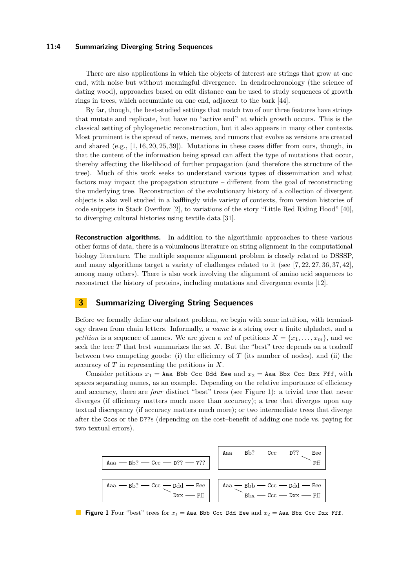### **11:4 Summarizing Diverging String Sequences**

There are also applications in which the objects of interest are strings that grow at one end, with noise but without meaningful divergence. In dendrochronology (the science of dating wood), approaches based on edit distance can be used to study sequences of growth rings in trees, which accumulate on one end, adjacent to the bark [\[44\]](#page-14-1).

By far, though, the best-studied settings that match two of our three features have strings that mutate and replicate, but have no "active end" at which growth occurs. This is the classical setting of phylogenetic reconstruction, but it also appears in many other contexts. Most prominent is the spread of news, memes, and rumors that evolve as versions are created and shared  $(e.g., [1, 16, 20, 25, 39])$  $(e.g., [1, 16, 20, 25, 39])$  $(e.g., [1, 16, 20, 25, 39])$  $(e.g., [1, 16, 20, 25, 39])$  $(e.g., [1, 16, 20, 25, 39])$  $(e.g., [1, 16, 20, 25, 39])$  $(e.g., [1, 16, 20, 25, 39])$ . Mutations in these cases differ from ours, though, in that the content of the information being spread can affect the type of mutations that occur, thereby affecting the likelihood of further propagation (and therefore the structure of the tree). Much of this work seeks to understand various types of dissemination and what factors may impact the propagation structure – different from the goal of reconstructing the underlying tree. Reconstruction of the evolutionary history of a collection of divergent objects is also well studied in a bafflingly wide variety of contexts, from version histories of code snippets in Stack Overflow [\[2\]](#page-12-13), to variations of the story "Little Red Riding Hood" [\[40\]](#page-13-7), to diverging cultural histories using textile data [\[31\]](#page-13-8).

**Reconstruction algorithms.** In addition to the algorithmic approaches to these various other forms of data, there is a voluminous literature on string alignment in the computational biology literature. The multiple sequence alignment problem is closely related to DSSSP, and many algorithms target a variety of challenges related to it (see [\[7,](#page-12-14) [22,](#page-13-9) [27,](#page-13-10) [36,](#page-13-11) [37,](#page-13-12) [42\]](#page-13-13), among many others). There is also work involving the alignment of amino acid sequences to reconstruct the history of proteins, including mutations and divergence events [\[12\]](#page-12-15).

# **3 Summarizing Diverging String Sequences**

Before we formally define our abstract problem, we begin with some intuition, with terminology drawn from chain letters. Informally, a *name* is a string over a finite alphabet, and a *petition* is a sequence of names. We are given a *set* of petitions  $X = \{x_1, \ldots, x_m\}$ , and we seek the tree *T* that best summarizes the set *X*. But the "best" tree depends on a tradeoff between two competing goods: (i) the efficiency of  $T$  (its number of nodes), and (ii) the accuracy of *T* in representing the petitions in *X*.

Consider petitions  $x_1 =$  Aaa Bbb Ccc Ddd Eee and  $x_2 =$  Aaa Bbx Ccc Dxx Fff, with spaces separating names, as an example. Depending on the relative importance of efficiency and accuracy, there are *four* distinct "best" trees (see Figure [1\)](#page-3-0): a trivial tree that never diverges (if efficiency matters much more than accuracy); a tree that diverges upon any textual discrepancy (if accuracy matters much more); or two intermediate trees that diverge after the Cccs or the D??s (depending on the cost–benefit of adding one node vs. paying for two textual errors).

<span id="page-3-0"></span>

**Figure 1** Four "best" trees for  $x_1 =$  Aaa Bbb Ccc Ddd Eee and  $x_2 =$  Aaa Bbx Ccc Dxx Fff.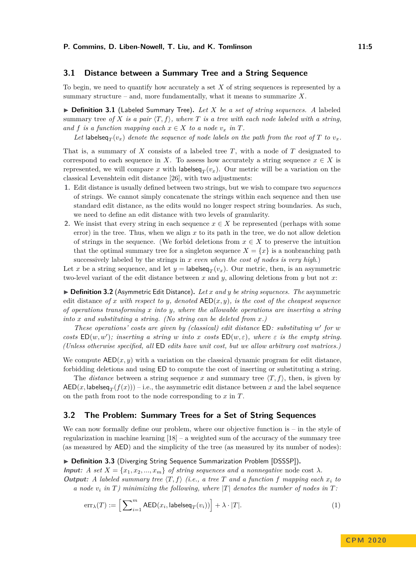# **3.1 Distance between a Summary Tree and a String Sequence**

To begin, we need to quantify how accurately a set *X* of string sequences is represented by a summary structure – and, more fundamentally, what it means to summarize *X*.

▶ Definition 3.1 (Labeled Summary Tree). Let X be a set of string sequences. A labeled summary tree of X is a pair  $\langle T, f \rangle$ , where T is a tree with each node labeled with a string, *and f is a function mapping each*  $x \in X$  *to a node*  $v_x$  *in T.* 

Let labelseq $_T(v_x)$  *denote the sequence of node labels on the path from the root of*  $T$  *to*  $v_x$ *.* 

That is, a summary of *X* consists of a labeled tree *T*, with a node of *T* designated to correspond to each sequence in *X*. To assess how accurately a string sequence  $x \in X$  is represented, we will compare x with labelseq<sub>T</sub> $(v_x)$ . Our metric will be a variation on the classical Levenshtein edit distance [\[26\]](#page-13-14), with two adjustments:

- **1.** Edit distance is usually defined between two strings, but we wish to compare two *sequences* of strings. We cannot simply concatenate the strings within each sequence and then use standard edit distance, as the edits would no longer respect string boundaries. As such, we need to define an edit distance with two levels of granularity.
- **2.** We insist that every string in each sequence  $x \in X$  be represented (perhaps with some error) in the tree. Thus, when we align *x* to its path in the tree, we do not allow deletion of strings in the sequence. (We forbid deletions from  $x \in X$  to preserve the intuition that the optimal summary tree for a singleton sequence  $X = \{x\}$  is a nonbranching path successively labeled by the strings in *x even when the cost of nodes is very high*.)

Let *x* be a string sequence, and let  $y =$  labelse $q_T(v_x)$ . Our metric, then, is an asymmetric two-level variant of the edit distance between *x* and *y*, allowing deletions from *y* but not *x*:

▶ **Definition 3.2** (Asymmetric Edit Distance). Let *x* and *y* be string sequences. The asymmetric edit distance of x with respect to y, denoted  $AED(x, y)$ , is the cost of the cheapest sequence *of operations transforming x into y, where the allowable operations are inserting a string into x and substituting a string. (No string can be deleted from x.)*

*These operations' costs are given by (classical) edit distance* ED*: substituting w* 0 *for w costs*  $ED(w, w')$ ; *inserting a string w into x costs*  $ED(w, \varepsilon)$ *, where*  $\varepsilon$  *is the empty string. (Unless otherwise specified, all* ED *edits have unit cost, but we allow arbitrary cost matrices.)*

We compute  $AED(x, y)$  with a variation on the classical dynamic program for edit distance, forbidding deletions and using ED to compute the cost of inserting or substituting a string.

The *distance* between a string sequence x and summary tree  $\langle T, f \rangle$ , then, is given by  $\mathsf{AED}(x,\mathsf{labelseq}_T(f(x)))$  – i.e., the asymmetric edit distance between  $x$  and the label sequence on the path from root to the node corresponding to *x* in *T*.

### **3.2 The Problem: Summary Trees for a Set of String Sequences**

We can now formally define our problem, where our objective function is – in the style of regularization in machine learning  $[18]$  – a weighted sum of the accuracy of the summary tree (as measured by AED) and the simplicity of the tree (as measured by its number of nodes):

▶ Definition 3.3 (Diverging String Sequence Summarization Problem [DSSSP]).

**Input:** *A set*  $X = \{x_1, x_2, ..., x_m\}$  *of string sequences and a nonnegative* node cost  $\lambda$ *.* **Output:** A labeled summary tree  $\langle T, f \rangle$  (i.e., a tree T and a function f mapping each  $x_i$  to

*a* node  $v_i$  in  $T$ ) minimizing the following, where  $|T|$  denotes the number of nodes in  $T$ :

<span id="page-4-0"></span>
$$
\operatorname{err}_{\lambda}(T) := \left[ \sum_{i=1}^{m} \mathsf{AED}(x_i, \mathsf{labelseq}_T(v_i)) \right] + \lambda \cdot |T|.
$$
 (1)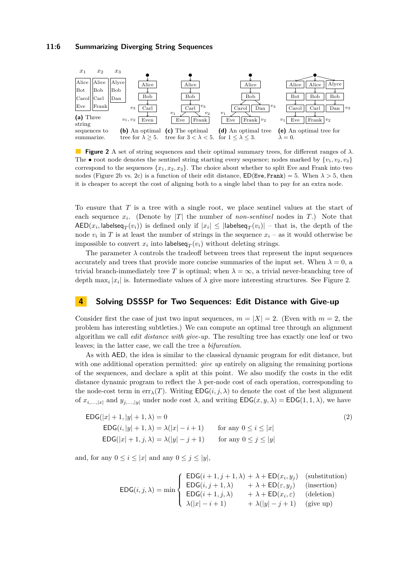#### **11:6 Summarizing Diverging String Sequences**

<span id="page-5-0"></span>

**Figure 2** A set of string sequences and their optimal summary trees, for different ranges of *λ*. The  $\bullet$  root node denotes the sentinel string starting every sequence; nodes marked by  $\{v_1, v_2, v_3\}$ correspond to the sequences  $\{x_1, x_2, x_3\}$ . The choice about whether to split Eve and Frank into two nodes (Figure [2b](#page-5-0) vs. [2c\)](#page-5-0) is a function of their edit distance,  $ED(Eve, Frank) = 5$ . When  $\lambda > 5$ , then it is cheaper to accept the cost of aligning both to a single label than to pay for an extra node.

To ensure that *T* is a tree with a single root, we place sentinel values at the start of each sequence  $x_i$ . (Denote by |*T*| the number of *non-sentinel* nodes in *T*.) Note that  $\mathsf{AED}(x_i, \mathsf{labelseq}_T(v_i))$  is defined only if  $|x_i| \leq |\mathsf{labelseq}_T(v_i)|$  – that is, the depth of the node  $v_i$  in T is at least the number of strings in the sequence  $x_i$  – as it would otherwise be impossible to convert  $x_i$  into labelseq $_T(v_i)$  without deleting strings.

The parameter  $\lambda$  controls the tradeoff between trees that represent the input sequences accurately and trees that provide more concise summaries of the input set. When  $\lambda = 0$ , a trivial branch-immediately tree *T* is optimal; when  $\lambda = \infty$ , a trivial never-branching tree of depth max<sub>*i*</sub> | $x_i$ | is. Intermediate values of  $\lambda$  give more interesting structures. See Figure [2.](#page-5-0)

# **4 Solving DSSSP for Two Sequences: Edit Distance with Give-up**

Consider first the case of just two input sequences,  $m = |X| = 2$ . (Even with  $m = 2$ , the problem has interesting subtleties.) We can compute an optimal tree through an alignment algorithm we call *edit distance with give-up.* The resulting tree has exactly one leaf or two leaves; in the latter case, we call the tree a *bifurcation*.

As with AED, the idea is similar to the classical dynamic program for edit distance, but with one additional operation permitted: *give up* entirely on aligning the remaining portions of the sequences, and declare a split at this point. We also modify the costs in the edit distance dynamic program to reflect the  $\lambda$  per-node cost of each operation, corresponding to the node-cost term in  $\text{err}_{\lambda}(T)$ . Writing  $\text{EDG}(i, j, \lambda)$  to denote the cost of the best alignment of  $x_{i,\dots,|x|}$  and  $y_{j,\dots,|y|}$  under node cost  $\lambda$ , and writing  $EDG(x, y, \lambda) = EDG(1, 1, \lambda)$ , we have

$$
\mathsf{EDG}(|x|+1, |y|+1, \lambda) = 0
$$
\n
$$
\mathsf{EDG}(i, |y|+1, \lambda) = \lambda(|x|-i+1) \qquad \text{for any } 0 \le i \le |x|
$$
\n
$$
\mathsf{EDG}(|x|+1, j, \lambda) = \lambda(|y|-j+1) \qquad \text{for any } 0 \le j \le |y|
$$
\n
$$
\tag{2}
$$

and, for any  $0 \leq i \leq |x|$  and any  $0 \leq j \leq |y|$ ,

<span id="page-5-1"></span>
$$
\mathsf{EDG}(i,j,\lambda) = \min \left\{ \begin{array}{ll} \mathsf{EDG}(i+1,j+1,\lambda) + \lambda + \mathsf{ED}(x_i,y_j) & \text{(substitution)}\\ \mathsf{EDG}(i,j+1,\lambda) + \lambda + \mathsf{ED}(\varepsilon,y_j) & \text{(insertion)}\\ \mathsf{EDG}(i+1,j,\lambda) + \lambda + \mathsf{ED}(x_i,\varepsilon) & \text{(deletion)}\\ \lambda(|x|-i+1) + \lambda(|y|-j+1) & \text{(give up)} \end{array} \right.
$$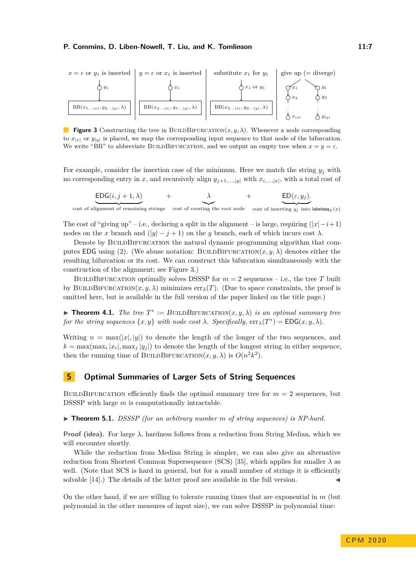<span id="page-6-1"></span>

**Figure 3** Constructing the tree in BUILDBIFURCATION $(x, y, \lambda)$ . Whenever a node corresponding to  $x_{|x|}$  or  $y_{|y|}$  is placed, we map the corresponding input sequence to that node of the bifurcation. We write "BB" to abbreviate BUILDBIFURCATION, and we output an empty tree when  $x = y = \varepsilon$ .

For example, consider the insertion case of the minimum. Here we match the string  $y_j$  with no corresponding entry in *x*, and recursively align  $y_{j+1,\dots,[y]}$  with  $x_{i,\dots,[x]}$ , with a total cost of

$$
\underbrace{\text{EDG}(i,j+1,\lambda)}_{\text{}} \qquad \quad + \qquad \underbrace{\lambda}_{\text{}} \qquad \quad + \qquad \underbrace{\text{ED}(\varepsilon,y_j)}_{\text{}}.
$$

 $\overline{\text{cost of alignment of remaining strings}}$  cost of creating the root node cost of inserting  $y_j$  into labelseq<sub>*T*</sub>(*x*)

The cost of "giving up" – i.e., declaring a split in the alignment – is large, requiring  $(|x| - i + 1)$ nodes on the *x* branch and  $(|y| - j + 1)$  on the *y* branch, each of which incurs cost  $\lambda$ .

Denote by BUILDBIFURCATION the natural dynamic programming algorithm that com-putes EDG using [\(2\)](#page-5-1). (We abuse notation: BUILDBIFURCATION $(x, y, \lambda)$  denotes either the resulting bifurcation or its cost. We can construct this bifurcation simultaneously with the construction of the alignment; see Figure [3.](#page-6-1))

BUILDBIFURCATION optimally solves DSSSP for  $m = 2$  sequences – i.e., the tree *T* built by BUILDBIFURCATION $(x, y, \lambda)$  minimizes  $err_{\lambda}(T)$ . (Due to space constraints, the proof is omitted here, but is available in the full version of the paper linked on the title page.)

<span id="page-6-0"></span>**Theorem 4.1.** *The tree*  $T^* := \text{BULDBIFURCATION}(x, y, \lambda)$  *is an optimal summary tree for the string sequences*  $\{x, y\}$  *with node cost*  $\lambda$ *. Specifically,*  $\text{err}_{\lambda}(T^*) = \text{EDG}(x, y, \lambda)$ *.* 

Writing  $n = \max(|x|, |y|)$  to denote the length of the longer of the two sequences, and  $k = \max(\max_i |x_i|, \max_j |y_i|)$  to denote the length of the longest string in either sequence, then the running time of BUILDBIFURCATION $(x, y, \lambda)$  is  $O(n^2k^2)$ .

# **5 Optimal Summaries of Larger Sets of String Sequences**

BUILDBIFURCATION efficiently finds the optimal summary tree for  $m = 2$  sequences, but DSSSP with large *m* is computationally intractable.

▶ **Theorem 5.1.** *DSSSP* (for an arbitrary number *m* of string sequences) is NP-hard.

**Proof (idea).** For large  $\lambda$ , hardness follows from a reduction from String Median, which we will encounter shortly.

While the reduction from Median String is simpler, we can also give an alternative reduction from Shortest Common Supersequence (SCS) [\[35\]](#page-13-15), which applies for smaller  $\lambda$  as well. (Note that SCS is hard in general, but for a small number of strings it is efficiently solvable [\[14\]](#page-12-17).) The details of the latter proof are available in the full version.

On the other hand, if we are willing to tolerate running times that are exponential in *m* (but polynomial in the other measures of input size), we can solve DSSSP in polynomial time: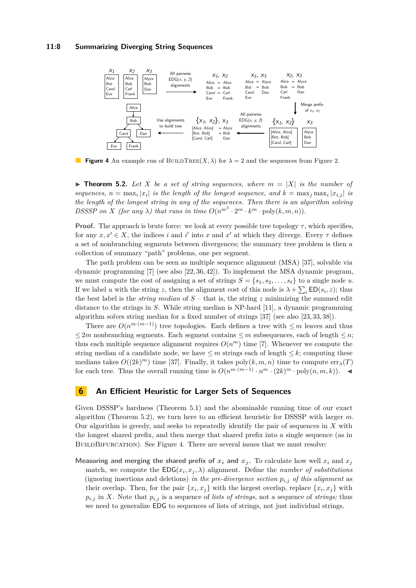### **11:8 Summarizing Diverging String Sequences**

<span id="page-7-1"></span>

**Figure 4** An example run of BUILDTREE $(X, \lambda)$  for  $\lambda = 2$  and the sequences from Figure [2.](#page-5-0)

<span id="page-7-0"></span>**Find Theorem 5.2.** Let X be a set of string sequences, where  $m = |X|$  is the number of *sequences,*  $n = \max_i |x_i|$  *is the length of the longest sequence, and*  $k = \max_j \max_i |x_{i,j}|$  *is the length of the longest string in any of the sequences. Then there is an algorithm solving DSSSP* on *X* (for any  $\lambda$ ) that runs in time  $O(n^{m^2} \cdot 2^m \cdot k^m \cdot \text{poly}(k, m, n))$ .

**Proof.** The approach is brute force: we look at every possible tree topology  $\tau$ , which specifies, for any  $x, x' \in X$ , the indices *i* and *i'* into *x* and *x'* at which they diverge. Every  $\tau$  defines a set of nonbranching segments between divergences; the summary tree problem is then a collection of summary "path" problems, one per segment.

The path problem can be seen as multiple sequence alignment (MSA) [\[37\]](#page-13-12), solvable via dynamic programming [\[7\]](#page-12-14) (see also [\[22,](#page-13-9) [36,](#page-13-11) [42\]](#page-13-13)). To implement the MSA dynamic program, we must compute the cost of assigning a set of strings  $S = \{s_1, s_2, \ldots, s_\ell\}$  to a single node *u*. If we label *u* with the string *z*, then the alignment cost of this node is  $\lambda + \sum_i \text{ED}(s_i, z)$ ; thus the best label is the *string median* of *S* – that is, the string *z* minimizing the summed edit distance to the strings in *S*. While string median is NP-hard [\[11\]](#page-12-18), a dynamic programming algorithm solves string median for a fixed number of strings [\[37\]](#page-13-12) (see also [\[23,](#page-13-16) [33,](#page-13-17) [38\]](#page-13-18)).

There are  $O(n^{m \cdot (m-1)})$  tree topologies. Each defines a tree with  $\leq m$  leaves and thus  $\leq 2m$  nonbranching segments. Each segment contains  $\leq m$  subsequences, each of length  $\leq n$ ; thus each multiple sequence alignment requires  $O(n^m)$  time [\[7\]](#page-12-14). Whenever we compute the string median of a candidate node, we have  $\leq m$  strings each of length  $\leq k$ ; computing these medians takes  $O((2k)^m)$  time [\[37\]](#page-13-12). Finally, it takes  $poly(k, m, n)$  time to compute  $err_{\lambda}(T)$ for each tree. Thus the overall running time is *O*(*n m*·(*m*−1) · *n <sup>m</sup>* · (2*k*) *<sup>m</sup>* · poly(*n, m, k*)). J

### **6 An Efficient Heuristic for Larger Sets of Sequences**

Given DSSSP's hardness (Theorem [5.1\)](#page-6-0) and the abominable running time of our exact algorithm (Theorem [5.2\)](#page-7-0), we turn here to an efficient heuristic for DSSSP with larger *m*. Our algorithm is greedy, and seeks to repeatedly identify the pair of sequences in *X* with the longest shared prefix, and then merge that shared prefix into a single sequence (as in BUILDBIFURCATION). See Figure [4.](#page-7-1) There are several issues that we must resolve:

**Measuring and merging the shared prefix of**  $x_i$  **and**  $x_j$ . To calculate how well  $x_i$  and  $x_j$ match, we compute the  $EDG(x_i, x_j, \lambda)$  alignment. Define the *number of substitutions* (ignoring insertions and deletions) *in the pre-divergence section*  $p_{i,j}$  *of this alignment* as their overlap. Then, for the pair  $\{x_i, x_j\}$  with the largest overlap, replace  $\{x_i, x_j\}$  with  $p_{i,j}$  in *X*. Note that  $p_{i,j}$  is a sequence of *lists of strings*, not a sequence of *strings*; thus we need to generalize EDG to sequences of lists of strings, not just individual strings.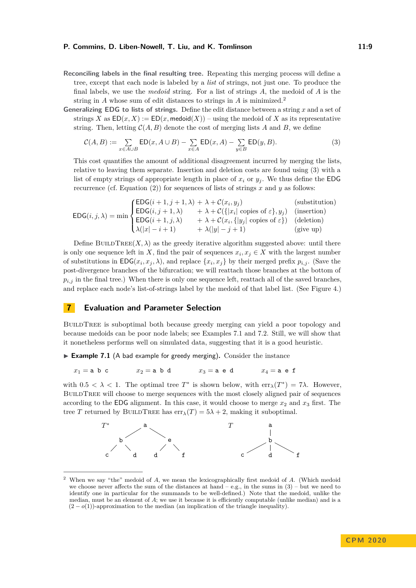- **Reconciling labels in the final resulting tree.** Repeating this merging process will define a tree, except that each node is labeled by a *list* of strings, not just one. To produce the final labels, we use the *medoid* string. For a list of strings *A*, the medoid of *A* is the string in *A* whose sum of edit distances to strings in *A* is minimized.[2](#page-8-0)
- **Generalizing EDG to lists of strings.** Define the edit distance between a string *x* and a set of strings *X* as  $ED(x, X) := ED(x, \text{medoid}(X)) - \text{using the medoid of } X$  as its representative string. Then, letting  $C(A, B)$  denote the cost of merging lists A and B, we define

<span id="page-8-1"></span>
$$
\mathcal{C}(A,B) := \sum_{x \in A \cup B} \mathsf{ED}(x, A \cup B) - \sum_{x \in A} \mathsf{ED}(x, A) - \sum_{y \in B} \mathsf{ED}(y, B). \tag{3}
$$

This cost quantifies the amount of additional disagreement incurred by merging the lists, relative to leaving them separate. Insertion and deletion costs are found using [\(3\)](#page-8-1) with a list of empty strings of appropriate length in place of  $x_i$  or  $y_j$ . We thus define the EDG recurrence (cf. Equation [\(2\)](#page-5-1)) for sequences of lists of strings  $x$  and  $y$  as follows:

$$
\mathsf{EDG}(i,j,\lambda) = \min \begin{cases} \mathsf{EDG}(i+1,j+1,\lambda) + \lambda + \mathcal{C}(x_i,y_j) & \text{(substitution)}\\ \mathsf{EDG}(i,j+1,\lambda) + \lambda + \mathcal{C}(\{|x_i|\text{ copies of }\varepsilon\},y_j) & \text{(insertion)}\\ \mathsf{EDG}(i+1,j,\lambda) + \lambda + \mathcal{C}(x_i,\{|y_j|\text{ copies of }\varepsilon\}) & \text{(deletion)}\\ \lambda(|x|-i+1) + \lambda(|y|-j+1) & \text{(give up)} \end{cases}
$$

Define BUILDTREE $(X, \lambda)$  as the greedy iterative algorithm suggested above: until there is only one sequence left in *X*, find the pair of sequences  $x_i, x_j \in X$  with the largest number of substitutions in  $EDG(x_i, x_j, \lambda)$ , and replace  $\{x_i, x_j\}$  by their merged prefix  $p_{i,j}$ . (Save the post-divergence branches of the bifurcation; we will reattach those branches at the bottom of  $p_{i,j}$  in the final tree.) When there is only one sequence left, reattach all of the saved branches, and replace each node's list-of-strings label by the medoid of that label list. (See Figure [4.](#page-7-1))

### <span id="page-8-3"></span>**7 Evaluation and Parameter Selection**

BUILDTREE is suboptimal both because greedy merging can yield a poor topology and because medoids can be poor node labels; see Examples [7.1](#page-8-2) and [7.2.](#page-9-1) Still, we will show that it nonetheless performs well on simulated data, suggesting that it is a good heuristic.

<span id="page-8-2"></span>► Example 7.1 (A bad example for greedy merging). Consider the instance

 $x_1 =$ a b c  $x_2 =$ a b d  $x_3 =$ a e d  $x_4 =$ a e f

with  $0.5 < \lambda < 1$ . The optimal tree  $T^*$  is shown below, with  $\text{err}_{\lambda}(T^*) = 7\lambda$ . However, BUILDTREE will choose to merge sequences with the most closely aligned pair of sequences according to the **EDG** alignment. In this case, it would choose to merge  $x_2$  and  $x_3$  first. The tree *T* returned by BUILDTREE has  $err_{\lambda}(T) = 5\lambda + 2$ , making it suboptimal.



<span id="page-8-0"></span><sup>2</sup> When we say "the" medoid of *A*, we mean the lexicographically first medoid of *A*. (Which medoid we choose never affects the sum of the distances at hand – e.g., in the sums in  $(3)$  – but we need to identify one in particular for the summands to be well-defined.) Note that the medoid, unlike the median, must be an element of *A*; we use it because it is efficiently computable (unlike median) and is a (2 − *o*(1))-approximation to the median (an implication of the triangle inequality).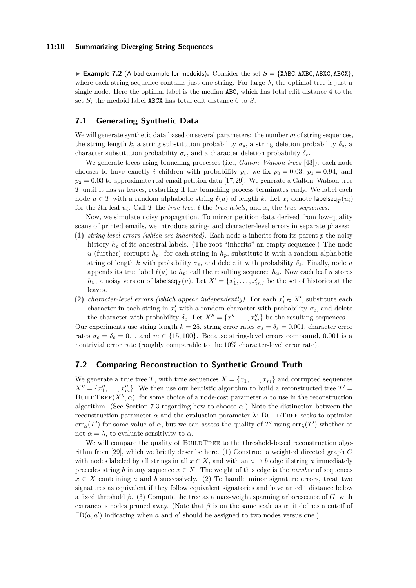### **11:10 Summarizing Diverging String Sequences**

<span id="page-9-1"></span>**Example 7.2** (A bad example for medoids). Consider the set  $S = \{XABC, ABXC, ABXC\}$ , where each string sequence contains just one string. For large  $\lambda$ , the optimal tree is just a single node. Here the optimal label is the median ABC, which has total edit distance 4 to the set *S*; the medoid label ABCX has total edit distance 6 to *S*.

### **7.1 Generating Synthetic Data**

We will generate synthetic data based on several parameters: the number *m* of string sequences, the string length *k*, a string substitution probability  $\sigma_s$ , a string deletion probability  $\delta_s$ , a character substitution probability  $\sigma_c$ , and a character deletion probability  $\delta_c$ .

We generate trees using branching processes (i.e., *Galton–Watson trees* [\[43\]](#page-13-19)): each node chooses to have exactly *i* children with probability  $p_i$ ; we fix  $p_0 = 0.03$ ,  $p_1 = 0.94$ , and  $p_2 = 0.03$  to approximate real email petition data [\[17,](#page-12-1)[29\]](#page-13-0). We generate a Galton–Watson tree *T* until it has *m* leaves, restarting if the branching process terminates early. We label each node  $u \in T$  with a random alphabetic string  $\ell(u)$  of length  $k$ . Let  $x_i$  denote labelseq $_T(u_i)$ for the *i*th leaf  $u_i$ . Call T the *true tree,*  $\ell$  the *true labels,* and  $x_i$  the *true sequences.* 

Now, we simulate noisy propagation. To mirror petition data derived from low-quality scans of printed emails, we introduce string- and character-level errors in separate phases:

- **(1)** *string-level errors (which are inherited).* Each node *u* inherits from its parent *p* the noisy history  $h_p$  of its ancestral labels. (The root "inherits" an empty sequence.) The node *u* (further) corrupts  $h_p$ : for each string in  $h_p$ , substitute it with a random alphabetic string of length *k* with probability  $\sigma_s$ , and delete it with probability  $\delta_s$ . Finally, node *u* appends its true label  $\ell(u)$  to  $h_p$ ; call the resulting sequence  $h_u$ . Now each leaf *u* stores  $h_u$ , a noisy version of labelseq<sub>*T*</sub>(*u*). Let  $X' = \{x'_1, \ldots, x'_m\}$  be the set of histories at the leaves.
- (2) *character-level errors (which appear independently).* For each  $x_i' \in X'$ , substitute each character in each string in  $x_i'$  with a random character with probability  $\sigma_c$ , and delete the character with probability  $\delta_c$ . Let  $X'' = \{x''_1, \ldots, x''_m\}$  be the resulting sequences.

Our experiments use string length  $k = 25$ , string error rates  $\sigma_s = \delta_s = 0.001$ , character error rates  $\sigma_c = \delta_c = 0.1$ , and  $m \in \{15, 100\}$ . Because string-level errors compound, 0.001 is a nontrivial error rate (roughly comparable to the 10% character-level error rate).

# <span id="page-9-0"></span>**7.2 Comparing Reconstruction to Synthetic Ground Truth**

We generate a true tree *T*, with true sequences  $X = \{x_1, \ldots, x_m\}$  and corrupted sequences  $X'' = \{x''_1, \ldots, x''_m\}$ . We then use our heuristic algorithm to build a reconstructed tree  $T' =$ BUILDTREE( $X''$ ,  $\alpha$ ), for some choice of a node-cost parameter  $\alpha$  to use in the reconstruction algorithm. (See Section [7.3](#page-11-0) regarding how to choose  $\alpha$ .) Note the distinction between the reconstruction parameter  $\alpha$  and the evaluation parameter  $\lambda$ : BUILDTREE seeks to optimize  $\text{err}_{\alpha}(T')$  for some value of  $\alpha$ , but we can assess the quality of  $T'$  using  $\text{err}_{\lambda}(T')$  whether or not  $\alpha = \lambda$ , to evaluate sensitivity to  $\alpha$ .

We will compare the quality of BUILDTREE to the threshold-based reconstruction algorithm from [\[29\]](#page-13-0), which we briefly describe here. (1) Construct a weighted directed graph *G* with nodes labeled by all strings in all  $x \in X$ , and with an  $a \to b$  edge if string a immediately precedes string *b* in any sequence  $x \in X$ . The weight of this edge is the *number* of sequences  $x \in X$  containing *a* and *b* successively. (2) To handle minor signature errors, treat two signatures as equivalent if they follow equivalent signatories and have an edit distance below a fixed threshold  $\beta$ . (3) Compute the tree as a max-weight spanning arborescence of *G*, with extraneous nodes pruned away. (Note that  $\beta$  is on the same scale as  $\alpha$ ; it defines a cutoff of  $ED(a, a')$  indicating when *a* and *a'* should be assigned to two nodes versus one.)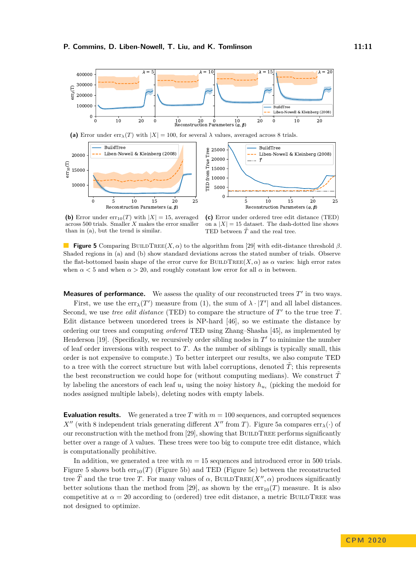<span id="page-10-0"></span>

(a) Error under  $err_{\lambda}(T)$  with  $|X| = 100$ , for several  $\lambda$  values, averaged across 8 trials.



**(b)** Error under  $err_{10}(T)$  with  $|X| = 15$ , averaged across 500 trials. Smaller *X* makes the error smaller than in (a), but the trend is similar.

**(c)** Error under ordered tree edit distance (TED) on a  $|X| = 15$  dataset. The dash-dotted line shows TED between  $\tilde{T}$  and the real tree.

**Figure 5** Comparing BUILDTREE(*X, α*) to the algorithm from [\[29\]](#page-13-0) with edit-distance threshold  $\beta$ . Shaded regions in (a) and (b) show standard deviations across the stated number of trials. Observe the flat-bottomed basin shape of the error curve for BUILDTREE( $X, \alpha$ ) as  $\alpha$  varies: high error rates when  $\alpha$  < 5 and when  $\alpha$  > 20, and roughly constant low error for all  $\alpha$  in between.

**Measures of performance.** We assess the quality of our reconstructed trees  $T'$  in two ways. First, we use the  $err_{\lambda}(T')$  measure from [\(1\)](#page-4-0), the sum of  $\lambda \cdot |T'|$  and all label distances. Second, we use *tree edit distance* (TED) to compare the structure of  $T'$  to the true tree  $T$ . Edit distance between unordered trees is NP-hard [\[46\]](#page-14-2), so we estimate the distance by ordering our trees and computing *ordered* TED using Zhang–Shasha [\[45\]](#page-14-3), as implemented by Henderson [\[19\]](#page-12-19). (Specifically, we recursively order sibling nodes in  $T'$  to minimize the number of leaf order inversions with respect to *T*. As the number of siblings is typically small, this order is not expensive to compute.) To better interpret our results, we also compute TED to a tree with the correct structure but with label corruptions, denoted  $\tilde{T}$ ; this represents the best reconstruction we could hope for (without computing medians). We construct  $\hat{T}$ by labeling the ancestors of each leaf  $u_i$  using the noisy history  $h_{u_i}$  (picking the medoid for nodes assigned multiple labels), deleting nodes with empty labels.

**Evaluation results.** We generated a tree *T* with  $m = 100$  sequences, and corrupted sequences  $X''$  (with 8 independent trials generating different *X*<sup>*n*</sup> from *T*). Figure [5a](#page-10-0) compares err<sub>*λ*</sub>(·) of our reconstruction with the method from [\[29\]](#page-13-0), showing that  $BULLTREE$  performs significantly better over a range of  $\lambda$  values. These trees were too big to compute tree edit distance, which is computationally prohibitive.

In addition, we generated a tree with *m* = 15 sequences and introduced error in 500 trials. Figure [5](#page-10-0) shows both  $err_{10}(T)$  (Figure [5b\)](#page-10-0) and TED (Figure [5c\)](#page-10-0) between the reconstructed tree  $\widehat{T}$  and the true tree *T*. For many values of  $\alpha$ , BUILDTREE(*X<sup>n</sup>*,  $\alpha$ ) produces significantly better solutions than the method from [\[29\]](#page-13-0), as shown by the  $err_{10}(T)$  measure. It is also competitive at  $\alpha = 20$  according to (ordered) tree edit distance, a metric BUILDTREE was not designed to optimize.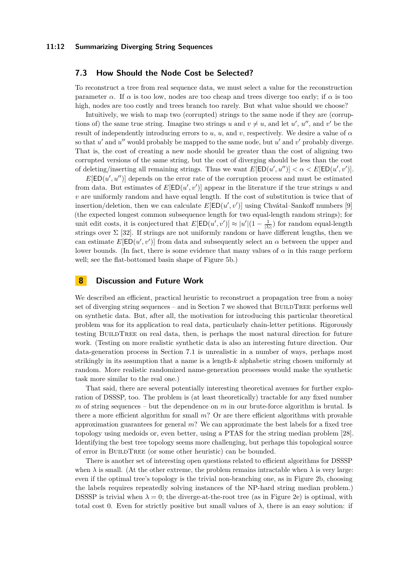## <span id="page-11-0"></span>**7.3 How Should the Node Cost be Selected?**

To reconstruct a tree from real sequence data, we must select a value for the reconstruction parameter  $\alpha$ . If  $\alpha$  is too low, nodes are too cheap and trees diverge too early; if  $\alpha$  is too high, nodes are too costly and trees branch too rarely. But what value should we choose?

Intuitively, we wish to map two (corrupted) strings to the same node if they are (corruptions of) the same true string. Imagine two strings *u* and  $v \neq u$ , and let *u'*, *u''*, and *v'* be the result of independently introducing errors to *u*, *u*, and *v*, respectively. We desire a value of *α* so that  $u'$  and  $u''$  would probably be mapped to the same node, but  $u'$  and  $v'$  probably diverge. That is, the cost of creating a new node should be greater than the cost of aligning two corrupted versions of the same string, but the cost of diverging should be less than the cost of deleting/inserting all remaining strings. Thus we want  $E[ED(u', u'')] < \alpha < E[ED(u', v')]$ .

 $E[ED(u', u'')]$  depends on the error rate of the corruption process and must be estimated from data. But estimates of  $E[ED(u', v')]$  appear in the literature if the true strings *u* and *v* are uniformly random and have equal length. If the cost of substitution is twice that of insertion/deletion, then we can calculate  $E[ED(u', v')]$  using Chvátal–Sankoff numbers [\[9\]](#page-12-20) (the expected longest common subsequence length for two equal-length random strings); for unit edit costs, it is conjectured that  $E[\text{ED}(u', v')] \approx |u'| (1 - \frac{1}{|\Sigma|})$  for random equal-length strings over  $\Sigma$  [\[32\]](#page-13-20). If strings are not uniformly random or have different lengths, then we can estimate  $E[ED(u', v')]$  from data and subsequently select an  $\alpha$  between the upper and lower bounds. (In fact, there is some evidence that many values of  $\alpha$  in this range perform well; see the flat-bottomed basin shape of Figure [5b.](#page-10-0))

# **8 Discussion and Future Work**

We described an efficient, practical heuristic to reconstruct a propagation tree from a noisy set of diverging string sequences – and in Section [7](#page-8-3) we showed that  $BULLREE$  performs well on synthetic data. But, after all, the motivation for introducing this particular theoretical problem was for its application to real data, particularly chain-letter petitions. Rigorously testing BuildTree on real data, then, is perhaps the most natural direction for future work. (Testing on more realistic synthetic data is also an interesting future direction. Our data-generation process in Section 7.1 is unrealistic in a number of ways, perhaps most strikingly in its assumption that a name is a length-*k* alphabetic string chosen uniformly at random. More realistic randomized name-generation processes would make the synthetic task more similar to the real one.)

That said, there are several potentially interesting theoretical avenues for further exploration of DSSSP, too. The problem is (at least theoretically) tractable for any fixed number *m* of string sequences – but the dependence on *m* in our brute-force algorithm is brutal. Is there a more efficient algorithm for small *m*? Or are there efficient algorithms with provable approximation guarantees for general *m*? We can approximate the best labels for a fixed tree topology using medoids or, even better, using a PTAS for the string median problem [\[28\]](#page-13-21). Identifying the best tree topology seems more challenging, but perhaps this topological source of error in BuildTree (or some other heuristic) can be bounded.

There is another set of interesting open questions related to efficient algorithms for DSSSP when  $\lambda$  is small. (At the other extreme, the problem remains intractable when  $\lambda$  is very large: even if the optimal tree's topology is the trivial non-branching one, as in Figure [2b,](#page-5-0) choosing the labels requires repeatedly solving instances of the NP-hard string median problem.) DSSSP is trivial when  $\lambda = 0$ ; the diverge-at-the-root tree (as in Figure [2e\)](#page-5-0) is optimal, with total cost 0. Even for strictly positive but small values of  $\lambda$ , there is an easy solution: if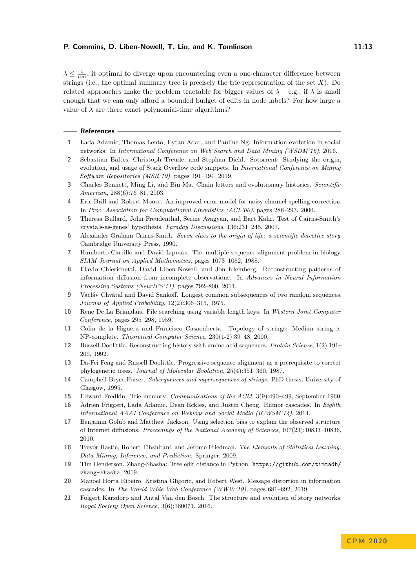$\lambda \leq \frac{1}{nm}$ , it optimal to diverge upon encountering even a one-character difference between strings (i.e., the optimal summary tree is precisely the trie representation of the set *X*). Do related approaches make the problem tractable for bigger values of  $\lambda - e.g.,$  if  $\lambda$  is small enough that we can only afford a bounded budget of edits in node labels? For how large a value of  $\lambda$  are there exact polynomial-time algorithms?

#### **References**

- <span id="page-12-10"></span>**1** Lada Adamic, Thomas Lento, Eytan Adar, and Pauline Ng. Information evolution in social networks. In *International Conference on Web Search and Data Mining (WSDM'16)*, 2016.
- <span id="page-12-13"></span>**2** Sebastian Baltes, Christoph Treude, and Stephan Diehl. Sotorrent: Studying the origin, evolution, and usage of Stack Overflow code snippets. In *International Conference on Mining Software Repositories (MSR'19)*, pages 191–194, 2019.
- <span id="page-12-4"></span>**3** Charles Bennett, Ming Li, and Bin Ma. Chain letters and evolutionary histories. *Scientific American*, 288(6):76–81, 2003.
- <span id="page-12-3"></span>**4** Eric Brill and Robert Moore. An improved error model for noisy channel spelling correction. In *Proc. Association for Computational Linguistics (ACL'00)*, pages 286–293, 2000.
- <span id="page-12-6"></span>**5** Theresa Bullard, John Freudenthal, Serine Avagyan, and Bart Kahr. Test of Cairns-Smith's 'crystals-as-genes' hypothesis. *Faraday Discussions*, 136:231–245, 2007.
- <span id="page-12-7"></span>**6** Alexander Graham Cairns-Smith. *Seven clues to the origin of life: a scientific detective story*. Cambridge University Press, 1990.
- <span id="page-12-14"></span>**7** Humberto Carrillo and David Lipman. The multiple sequence alignment problem in biology. *SIAM Journal on Applied Mathematics*, pages 1073–1082, 1988.
- <span id="page-12-2"></span>**8** Flavio Chierichetti, David Liben-Nowell, and Jon Kleinberg. Reconstructing patterns of information diffusion from incomplete observations. In *Advances in Neural Information Processing Systems (NeurIPS'11)*, pages 792–800, 2011.
- <span id="page-12-20"></span>**9** Vacláv Chvátal and David Sankoff. Longest common subsequences of two random sequences. *Journal of Applied Probability*, 12(2):306–315, 1975.
- <span id="page-12-8"></span>**10** Rene De La Briandais. File searching using variable length keys. In *Western Joint Computer Conference*, pages 295–298, 1959.
- <span id="page-12-18"></span>**11** Colin de la Higuera and Francisco Casacuberta. Topology of strings: Median string is NP-complete. *Theoretical Computer Science*, 230(1-2):39–48, 2000.
- <span id="page-12-15"></span>**12** Russell Doolittle. Reconstructing history with amino acid sequences. *Protein Science*, 1(2):191– 200, 1992.
- <span id="page-12-0"></span>**13** Da-Fei Feng and Russell Doolittle. Progressive sequence alignment as a prerequisite to correct phylogenetic trees. *Journal of Molecular Evolution*, 25(4):351–360, 1987.
- <span id="page-12-17"></span>**14** Campbell Bryce Fraser. *Subsequences and supersequences of strings*. PhD thesis, University of Glasgow, 1995.
- <span id="page-12-9"></span>**15** Edward Fredkin. Trie memory. *Communications of the ACM*, 3(9):490–499, September 1960.
- <span id="page-12-11"></span>**16** Adrien Friggeri, Lada Adamic, Dean Eckles, and Justin Cheng. Rumor cascades. In *Eighth International AAAI Conference on Weblogs and Social Media (ICWSM'14)*, 2014.
- <span id="page-12-1"></span>**17** Benjamin Golub and Matthew Jackson. Using selection bias to explain the observed structure of Internet diffusions. *Proceedings of the National Academy of Sciences*, 107(23):10833–10836, 2010.
- <span id="page-12-16"></span>**18** Trevor Hastie, Robert Tibshirani, and Jerome Friedman. *The Elements of Statistical Learning: Data Mining, Inference, and Prediction*. Springer, 2009.
- <span id="page-12-19"></span>**19** Tim Henderson. Zhang-Shasha: Tree edit distance in Python. [https://github.com/timtadh/](https://github.com/timtadh/zhang-shasha) [zhang-shasha](https://github.com/timtadh/zhang-shasha), 2019.
- <span id="page-12-12"></span>**20** Manoel Horta Ribeiro, Kristina Gligoric, and Robert West. Message distortion in information cascades. In *The World Wide Web Conference (WWW'19)*, pages 681–692, 2019.
- <span id="page-12-5"></span>**21** Folgert Karsdorp and Antal Van den Bosch. The structure and evolution of story networks. *Royal Society Open Science*, 3(6):160071, 2016.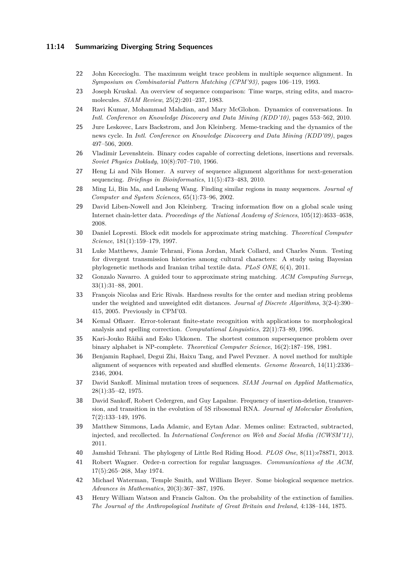### **11:14 Summarizing Diverging String Sequences**

- <span id="page-13-9"></span>**22** John Kececioglu. The maximum weight trace problem in multiple sequence alignment. In *Symposium on Combinatorial Pattern Matching (CPM'93)*, pages 106–119, 1993.
- <span id="page-13-16"></span>**23** Joseph Kruskal. An overview of sequence comparison: Time warps, string edits, and macromolecules. *SIAM Review*, 25(2):201–237, 1983.
- <span id="page-13-4"></span>**24** Ravi Kumar, Mohammad Mahdian, and Mary McGlohon. Dynamics of conversations. In *Intl. Conference on Knowledge Discovery and Data Mining (KDD'10)*, pages 553–562, 2010.
- <span id="page-13-5"></span>**25** Jure Leskovec, Lars Backstrom, and Jon Kleinberg. Meme-tracking and the dynamics of the news cycle. In *Intl. Conference on Knowledge Discovery and Data Mining (KDD'09)*, pages 497–506, 2009.
- <span id="page-13-14"></span>**26** Vladimir Levenshtein. Binary codes capable of correcting deletions, insertions and reversals. *Soviet Physics Doklady*, 10(8):707–710, 1966.
- <span id="page-13-10"></span>**27** Heng Li and Nils Homer. A survey of sequence alignment algorithms for next-generation sequencing. *Briefings in Bioinformatics*, 11(5):473–483, 2010.
- <span id="page-13-21"></span>**28** Ming Li, Bin Ma, and Lusheng Wang. Finding similar regions in many sequences. *Journal of Computer and System Sciences*, 65(1):73–96, 2002.
- <span id="page-13-0"></span>**29** David Liben-Nowell and Jon Kleinberg. Tracing information flow on a global scale using Internet chain-letter data. *Proceedings of the National Academy of Sciences*, 105(12):4633–4638, 2008.
- <span id="page-13-3"></span>**30** Daniel Lopresti. Block edit models for approximate string matching. *Theoretical Computer Science*, 181(1):159–179, 1997.
- <span id="page-13-8"></span>**31** Luke Matthews, Jamie Tehrani, Fiona Jordan, Mark Collard, and Charles Nunn. Testing for divergent transmission histories among cultural characters: A study using Bayesian phylogenetic methods and Iranian tribal textile data. *PLoS ONE*, 6(4), 2011.
- <span id="page-13-20"></span>**32** Gonzalo Navarro. A guided tour to approximate string matching. *ACM Computing Surveys*, 33(1):31–88, 2001.
- <span id="page-13-17"></span>**33** François Nicolas and Eric Rivals. Hardness results for the center and median string problems under the weighted and unweighted edit distances. *Journal of Discrete Algorithms*, 3(2-4):390– 415, 2005. Previously in CPM'03.
- <span id="page-13-1"></span>**34** Kemal Oflazer. Error-tolerant finite-state recognition with applications to morphological analysis and spelling correction. *Computational Linguistics*, 22(1):73–89, 1996.
- <span id="page-13-15"></span>**35** Kari-Jouko Räihä and Esko Ukkonen. The shortest common supersequence problem over binary alphabet is NP-complete. *Theoretical Computer Science*, 16(2):187–198, 1981.
- <span id="page-13-11"></span>**36** Benjamin Raphael, Degui Zhi, Haixu Tang, and Pavel Pevzner. A novel method for multiple alignment of sequences with repeated and shuffled elements. *Genome Research*, 14(11):2336– 2346, 2004.
- <span id="page-13-12"></span>**37** David Sankoff. Minimal mutation trees of sequences. *SIAM Journal on Applied Mathematics*, 28(1):35–42, 1975.
- <span id="page-13-18"></span>**38** David Sankoff, Robert Cedergren, and Guy Lapalme. Frequency of insertion-deletion, transversion, and transition in the evolution of 5S ribosomal RNA. *Journal of Molecular Evolution*, 7(2):133–149, 1976.
- <span id="page-13-6"></span>**39** Matthew Simmons, Lada Adamic, and Eytan Adar. Memes online: Extracted, subtracted, injected, and recollected. In *International Conference on Web and Social Media (ICWSM'11)*, 2011.
- <span id="page-13-7"></span>**40** Jamshid Tehrani. The phylogeny of Little Red Riding Hood. *PLOS One*, 8(11):e78871, 2013.
- <span id="page-13-2"></span>**41** Robert Wagner. Order-n correction for regular languages. *Communications of the ACM*, 17(5):265–268, May 1974.
- <span id="page-13-13"></span>**42** Michael Waterman, Temple Smith, and William Beyer. Some biological sequence metrics. *Advances in Mathematics*, 20(3):367–387, 1976.
- <span id="page-13-19"></span>**43** Henry William Watson and Francis Galton. On the probability of the extinction of families. *The Journal of the Anthropological Institute of Great Britain and Ireland*, 4:138–144, 1875.